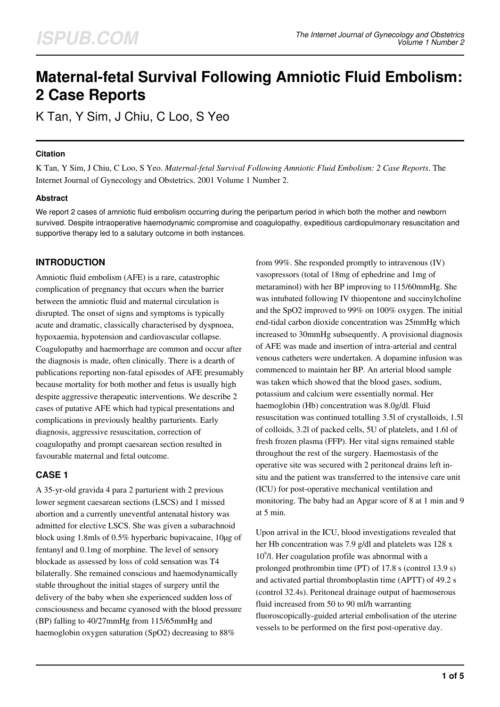# **Maternal-fetal Survival Following Amniotic Fluid Embolism: 2 Case Reports**

K Tan, Y Sim, J Chiu, C Loo, S Yeo

## **Citation**

K Tan, Y Sim, J Chiu, C Loo, S Yeo. *Maternal-fetal Survival Following Amniotic Fluid Embolism: 2 Case Reports*. The Internet Journal of Gynecology and Obstetrics. 2001 Volume 1 Number 2.

## **Abstract**

We report 2 cases of amniotic fluid embolism occurring during the peripartum period in which both the mother and newborn survived. Despite intraoperative haemodynamic compromise and coagulopathy, expeditious cardiopulmonary resuscitation and supportive therapy led to a salutary outcome in both instances.

# **INTRODUCTION**

Amniotic fluid embolism (AFE) is a rare, catastrophic complication of pregnancy that occurs when the barrier between the amniotic fluid and maternal circulation is disrupted. The onset of signs and symptoms is typically acute and dramatic, classically characterised by dyspnoea, hypoxaemia, hypotension and cardiovascular collapse. Coagulopathy and haemorrhage are common and occur after the diagnosis is made, often clinically. There is a dearth of publications reporting non-fatal episodes of AFE presumably because mortality for both mother and fetus is usually high despite aggressive therapeutic interventions. We describe 2 cases of putative AFE which had typical presentations and complications in previously healthy parturients. Early diagnosis, aggressive resuscitation, correction of coagulopathy and prompt caesarean section resulted in favourable maternal and fetal outcome.

# **CASE 1**

A 35-yr-old gravida 4 para 2 parturient with 2 previous lower segment caesarean sections (LSCS) and 1 missed abortion and a currently uneventful antenatal history was admitted for elective LSCS. She was given a subarachnoid block using 1.8mls of 0.5% hyperbaric bupivacaine, 10µg of fentanyl and 0.1mg of morphine. The level of sensory blockade as assessed by loss of cold sensation was T4 bilaterally. She remained conscious and haemodynamically stable throughout the initial stages of surgery until the delivery of the baby when she experienced sudden loss of consciousness and became cyanosed with the blood pressure (BP) falling to 40/27mmHg from 115/65mmHg and haemoglobin oxygen saturation (SpO2) decreasing to 88%

from 99%. She responded promptly to intravenous (IV) vasopressors (total of 18mg of ephedrine and 1mg of metaraminol) with her BP improving to 115/60mmHg. She was intubated following IV thiopentone and succinylcholine and the SpO2 improved to 99% on 100% oxygen. The initial end-tidal carbon dioxide concentration was 25mmHg which increased to 30mmHg subsequently. A provisional diagnosis of AFE was made and insertion of intra-arterial and central venous catheters were undertaken. A dopamine infusion was commenced to maintain her BP. An arterial blood sample was taken which showed that the blood gases, sodium, potassium and calcium were essentially normal. Her haemoglobin (Hb) concentration was 8.0g/dl. Fluid resuscitation was continued totalling 3.5l of crystalloids, 1.5l of colloids, 3.2l of packed cells, 5U of platelets, and 1.6l of fresh frozen plasma (FFP). Her vital signs remained stable throughout the rest of the surgery. Haemostasis of the operative site was secured with 2 peritoneal drains left insitu and the patient was transferred to the intensive care unit (ICU) for post-operative mechanical ventilation and monitoring. The baby had an Apgar score of 8 at 1 min and 9 at 5 min.

Upon arrival in the ICU, blood investigations revealed that her Hb concentration was 7.9 g/dl and platelets was 128 x 10<sup>9</sup>/l. Her coagulation profile was abnormal with a prolonged prothrombin time (PT) of 17.8 s (control 13.9 s) and activated partial thromboplastin time (APTT) of 49.2 s (control 32.4s). Peritoneal drainage output of haemoserous fluid increased from 50 to 90 ml/h warranting fluoroscopically-guided arterial embolisation of the uterine vessels to be performed on the first post-operative day.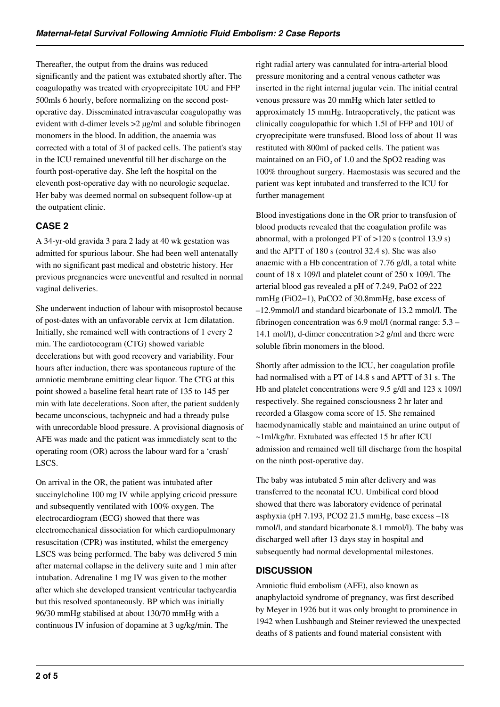Thereafter, the output from the drains was reduced significantly and the patient was extubated shortly after. The coagulopathy was treated with cryoprecipitate 10U and FFP 500mls 6 hourly, before normalizing on the second postoperative day. Disseminated intravascular coagulopathy was evident with d-dimer levels >2 µg/ml and soluble fibrinogen monomers in the blood. In addition, the anaemia was corrected with a total of 3l of packed cells. The patient's stay in the ICU remained uneventful till her discharge on the fourth post-operative day. She left the hospital on the eleventh post-operative day with no neurologic sequelae. Her baby was deemed normal on subsequent follow-up at the outpatient clinic.

# **CASE 2**

A 34-yr-old gravida 3 para 2 lady at 40 wk gestation was admitted for spurious labour. She had been well antenatally with no significant past medical and obstetric history. Her previous pregnancies were uneventful and resulted in normal vaginal deliveries.

She underwent induction of labour with misoprostol because of post-dates with an unfavorable cervix at 1cm dilatation. Initially, she remained well with contractions of 1 every 2 min. The cardiotocogram (CTG) showed variable decelerations but with good recovery and variability. Four hours after induction, there was spontaneous rupture of the amniotic membrane emitting clear liquor. The CTG at this point showed a baseline fetal heart rate of 135 to 145 per min with late decelerations. Soon after, the patient suddenly became unconscious, tachypneic and had a thready pulse with unrecordable blood pressure. A provisional diagnosis of AFE was made and the patient was immediately sent to the operating room (OR) across the labour ward for a 'crash' LSCS.

On arrival in the OR, the patient was intubated after succinylcholine 100 mg IV while applying cricoid pressure and subsequently ventilated with 100% oxygen. The electrocardiogram (ECG) showed that there was electromechanical dissociation for which cardiopulmonary resuscitation (CPR) was instituted, whilst the emergency LSCS was being performed. The baby was delivered 5 min after maternal collapse in the delivery suite and 1 min after intubation. Adrenaline 1 mg IV was given to the mother after which she developed transient ventricular tachycardia but this resolved spontaneously. BP which was initially 96/30 mmHg stabilised at about 130/70 mmHg with a continuous IV infusion of dopamine at 3 ug/kg/min. The

right radial artery was cannulated for intra-arterial blood pressure monitoring and a central venous catheter was inserted in the right internal jugular vein. The initial central venous pressure was 20 mmHg which later settled to approximately 15 mmHg. Intraoperatively, the patient was clinically coagulopathic for which 1.5l of FFP and 10U of cryoprecipitate were transfused. Blood loss of about 1l was restituted with 800ml of packed cells. The patient was maintained on an  $FiO<sub>2</sub>$  of 1.0 and the SpO2 reading was 100% throughout surgery. Haemostasis was secured and the patient was kept intubated and transferred to the ICU for further management

Blood investigations done in the OR prior to transfusion of blood products revealed that the coagulation profile was abnormal, with a prolonged PT of >120 s (control 13.9 s) and the APTT of 180 s (control 32.4 s). She was also anaemic with a Hb concentration of 7.76 g/dl, a total white count of 18 x 109/l and platelet count of 250 x 109/l. The arterial blood gas revealed a pH of 7.249, PaO2 of 222 mmHg (FiO2=1), PaCO2 of 30.8mmHg, base excess of –12.9mmol/l and standard bicarbonate of 13.2 mmol/l. The fibrinogen concentration was 6.9 mol/l (normal range: 5.3 – 14.1 mol/l), d-dimer concentration >2 g/ml and there were soluble fibrin monomers in the blood.

Shortly after admission to the ICU, her coagulation profile had normalised with a PT of 14.8 s and APTT of 31 s. The Hb and platelet concentrations were 9.5 g/dl and 123 x 109/l respectively. She regained consciousness 2 hr later and recorded a Glasgow coma score of 15. She remained haemodynamically stable and maintained an urine output of ~1ml/kg/hr. Extubated was effected 15 hr after ICU admission and remained well till discharge from the hospital on the ninth post-operative day.

The baby was intubated 5 min after delivery and was transferred to the neonatal ICU. Umbilical cord blood showed that there was laboratory evidence of perinatal asphyxia (pH 7.193, PCO2 21.5 mmHg, base excess –18 mmol/l, and standard bicarbonate 8.1 mmol/l). The baby was discharged well after 13 days stay in hospital and subsequently had normal developmental milestones.

## **DISCUSSION**

Amniotic fluid embolism (AFE), also known as anaphylactoid syndrome of pregnancy, was first described by Meyer in 1926 but it was only brought to prominence in 1942 when Lushbaugh and Steiner reviewed the unexpected deaths of 8 patients and found material consistent with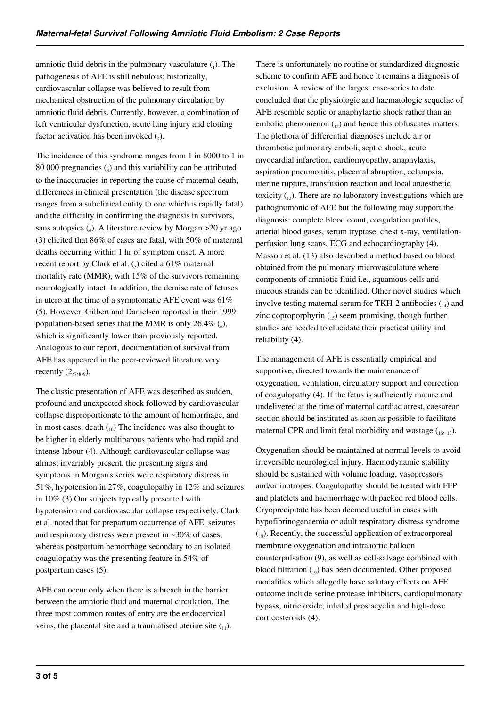amniotic fluid debris in the pulmonary vasculature  $\binom{1}{1}$ . The pathogenesis of AFE is still nebulous; historically, cardiovascular collapse was believed to result from mechanical obstruction of the pulmonary circulation by amniotic fluid debris. Currently, however, a combination of left ventricular dysfunction, acute lung injury and clotting factor activation has been invoked  $(_{2})$ .

The incidence of this syndrome ranges from 1 in 8000 to 1 in  $80000$  pregnancies  $\left($ <sub>3</sub>) and this variability can be attributed to the inaccuracies in reporting the cause of maternal death, differences in clinical presentation (the disease spectrum ranges from a subclinical entity to one which is rapidly fatal) and the difficulty in confirming the diagnosis in survivors, sans autopsies (4). A literature review by Morgan > 20 yr ago (3) elicited that 86% of cases are fatal, with 50% of maternal deaths occurring within 1 hr of symptom onset. A more recent report by Clark et al.  $\mathcal{L}_5$  cited a 61% maternal mortality rate (MMR), with 15% of the survivors remaining neurologically intact. In addition, the demise rate of fetuses in utero at the time of a symptomatic AFE event was 61% (5). However, Gilbert and Danielsen reported in their 1999 population-based series that the MMR is only  $26.4\%$  ( $_6$ ), which is significantly lower than previously reported. Analogous to our report, documentation of survival from AFE has appeared in the peer-reviewed literature very recently  $(2, 7, 8, 9)$ .

The classic presentation of AFE was described as sudden, profound and unexpected shock followed by cardiovascular collapse disproportionate to the amount of hemorrhage, and in most cases, death  $\binom{10}{10}$  The incidence was also thought to be higher in elderly multiparous patients who had rapid and intense labour (4). Although cardiovascular collapse was almost invariably present, the presenting signs and symptoms in Morgan's series were respiratory distress in 51%, hypotension in 27%, coagulopathy in 12% and seizures in 10% (3) Our subjects typically presented with hypotension and cardiovascular collapse respectively. Clark et al. noted that for prepartum occurrence of AFE, seizures and respiratory distress were present in ~30% of cases, whereas postpartum hemorrhage secondary to an isolated coagulopathy was the presenting feature in 54% of postpartum cases (5).

AFE can occur only when there is a breach in the barrier between the amniotic fluid and maternal circulation. The three most common routes of entry are the endocervical veins, the placental site and a traumatised uterine site  $\binom{1}{1}$ . There is unfortunately no routine or standardized diagnostic scheme to confirm AFE and hence it remains a diagnosis of exclusion. A review of the largest case-series to date concluded that the physiologic and haematologic sequelae of AFE resemble septic or anaphylactic shock rather than an embolic phenomenon  $_{12}$ ) and hence this obfuscates matters. The plethora of differential diagnoses include air or thrombotic pulmonary emboli, septic shock, acute myocardial infarction, cardiomyopathy, anaphylaxis, aspiration pneumonitis, placental abruption, eclampsia, uterine rupture, transfusion reaction and local anaesthetic toxicity  $\binom{13}{13}$ . There are no laboratory investigations which are pathognomonic of AFE but the following may support the diagnosis: complete blood count, coagulation profiles, arterial blood gases, serum tryptase, chest x-ray, ventilationperfusion lung scans, ECG and echocardiography (4). Masson et al. (13) also described a method based on blood obtained from the pulmonary microvasculature where components of amniotic fluid i.e., squamous cells and mucous strands can be identified. Other novel studies which involve testing maternal serum for TKH-2 antibodies  $_{14}$ ) and zinc coproporphyrin  $_{15}$ ) seem promising, though further studies are needed to elucidate their practical utility and reliability (4).

The management of AFE is essentially empirical and supportive, directed towards the maintenance of oxygenation, ventilation, circulatory support and correction of coagulopathy (4). If the fetus is sufficiently mature and undelivered at the time of maternal cardiac arrest, caesarean section should be instituted as soon as possible to facilitate maternal CPR and limit fetal morbidity and wastage  $\binom{16}{16, 17}$ .

Oxygenation should be maintained at normal levels to avoid irreversible neurological injury. Haemodynamic stability should be sustained with volume loading, vasopressors and/or inotropes. Coagulopathy should be treated with FFP and platelets and haemorrhage with packed red blood cells. Cryoprecipitate has been deemed useful in cases with hypofibrinogenaemia or adult respiratory distress syndrome  $_{18}$ ). Recently, the successful application of extracorporeal membrane oxygenation and intraaortic balloon counterpulsation (9), as well as cell-salvage combined with blood filtration  $_{19}$ ) has been documented. Other proposed modalities which allegedly have salutary effects on AFE outcome include serine protease inhibitors, cardiopulmonary bypass, nitric oxide, inhaled prostacyclin and high-dose corticosteroids (4).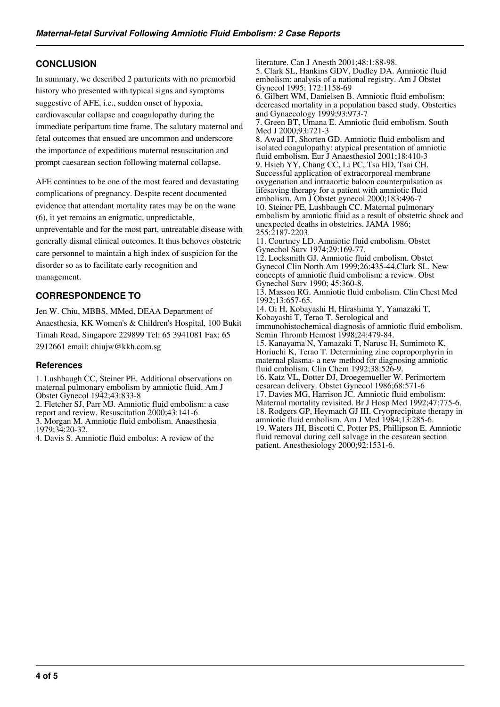## **CONCLUSION**

In summary, we described 2 parturients with no premorbid history who presented with typical signs and symptoms suggestive of AFE, i.e., sudden onset of hypoxia, cardiovascular collapse and coagulopathy during the immediate peripartum time frame. The salutary maternal and fetal outcomes that ensued are uncommon and underscore the importance of expeditious maternal resuscitation and prompt caesarean section following maternal collapse.

AFE continues to be one of the most feared and devastating complications of pregnancy. Despite recent documented evidence that attendant mortality rates may be on the wane (6), it yet remains an enigmatic, unpredictable, unpreventable and for the most part, untreatable disease with generally dismal clinical outcomes. It thus behoves obstetric care personnel to maintain a high index of suspicion for the disorder so as to facilitate early recognition and management.

## **CORRESPONDENCE TO**

Jen W. Chiu, MBBS, MMed, DEAA Department of Anaesthesia, KK Women's & Children's Hospital, 100 Bukit Timah Road, Singapore 229899 Tel: 65 3941081 Fax: 65 2912661 email: chiujw@kkh.com.sg

## **References**

1. Lushbaugh CC, Steiner PE. Additional observations on maternal pulmonary embolism by amniotic fluid. Am J Obstet Gynecol 1942;43:833-8

2. Fletcher SJ, Parr MJ. Amniotic fluid embolism: a case report and review. Resuscitation 2000;43:141-6

3. Morgan M. Amniotic fluid embolism. Anaesthesia 1979;34:20-32.

4. Davis S. Amniotic fluid embolus: A review of the

literature. Can J Anesth 2001;48:1:88-98. 5. Clark SL, Hankins GDV, Dudley DA. Amniotic fluid embolism: analysis of a national registry. Am J Obstet Gynecol 1995; 172:1158-69 6. Gilbert WM, Danielsen B. Amniotic fluid embolism: decreased mortality in a population based study. Obstertics and Gynaecology 1999;93:973-7 7. Green BT, Umana E. Amniotic fluid embolism. South Med J 2000;93:721-3 8. Awad IT, Shorten GD. Amniotic fluid embolism and isolated coagulopathy: atypical presentation of amniotic fluid embolism. Eur J Anaesthesiol 2001;18:410-3 9. Hsieh YY, Chang CC, Li PC, Tsa HD, Tsai CH. Successful application of extracorporeal membrane oxygenation and intraaortic baloon counterpulsation as lifesaving therapy for a patient with amniotic fluid embolism. Am J Obstet gynecol 2000;183:496-7 10. Steiner PE, Lushbaugh CC. Maternal pulmonary embolism by amniotic fluid as a result of obstetric shock and unexpected deaths in obstetrics. JAMA 1986; 255:2187-2203. 11. Courtney LD. Amniotic fluid embolism. Obstet Gynechol Surv 1974;29:169-77. 12. Locksmith GJ. Amniotic fluid embolism. Obstet Gynecol Clin North Am 1999;26:435-44.Clark SL. New concepts of amniotic fluid embolism: a review. Obst Gynechol Surv 1990; 45:360-8. 13. Masson RG. Amniotic fluid embolism. Clin Chest Med 1992;13:657-65. 14. Oi H, Kobayashi H, Hirashima Y, Yamazaki T, Kobayashi T, Terao T. Serological and immunohistochemical diagnosis of amniotic fluid embolism. Semin Thromb Hemost 1998;24:479-84. 15. Kanayama N, Yamazaki T, Narusc H, Sumimoto K, Horiuchi K, Terao T. Determining zinc coproporphyrin in maternal plasma- a new method for diagnosing amniotic fluid embolism. Clin Chem 1992;38:526-9. 16. Katz VL, Dotter DJ, Droegemueller W. Perimortem cesarean delivery. Obstet Gynecol 1986;68:571-6 17. Davies MG, Harrison JC. Amniotic fluid embolism: Maternal mortality revisited. Br J Hosp Med 1992;47:775-6. 18. Rodgers GP, Heymach GJ III. Cryoprecipitate therapy in amniotic fluid embolism. Am J Med 1984;13:285-6. 19. Waters JH, Biscotti C, Potter PS, Phillipson E. Amniotic fluid removal during cell salvage in the cesarean section patient. Anesthesiology 2000;92:1531-6.